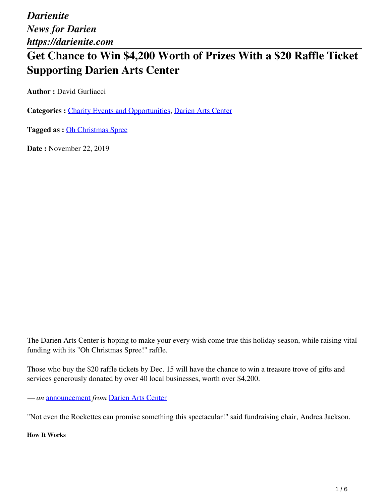*Darienite News for Darien https://darienite.com*

# **Get Chance to Win \$4,200 Worth of Prizes With a \$20 Raffle Ticket Supporting Darien Arts Center**

**Author : David Gurliacci** 

**Categories :** [Charity Events and Opportunities](https://darienite.com/category/charity-events-and-opportunities), Darien Arts Center

**Tagged as :** Oh Christmas Spree

**Date :** November 22, 2019

The Darien Arts Center is hoping to make your every wish come true this holiday season, while raising vital funding with its "Oh Christmas Spree!" raffle.

Those who buy the \$20 raffle tickets by Dec. 15 will have the chance to win a treasure trove of gifts and services generously donated by over 40 local businesses, worth over \$4,200.

*— an* announcement *from* Darien Arts Center

"Not even the Rockettes can promise something this spectacular!" said fundraising chair, Andrea Jackson.

**How It Works**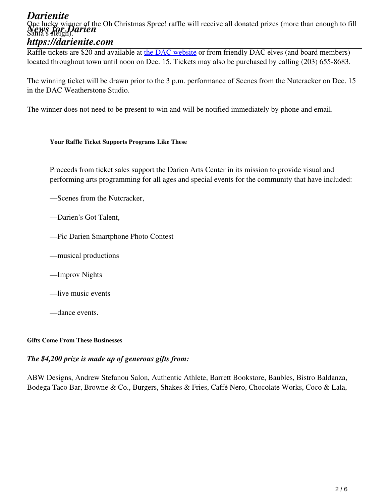#### *Darienite* One lucky winner of the Oh Christmas Spree! raffle will receive all donated prizes (more than enough to fill<br>News for **Parish arien** *https://darienite.com* Santa's sleigh).

Raffle tickets are \$20 and available at the DAC website or from friendly DAC elves (and board members) located throughout town until noon on Dec. 15. Tickets may also be purchased by calling (203) 655-8683.

The winning ticket will be drawn prior to the 3 p.m. performance of Scenes from the Nutcracker on Dec. 15 in the DAC Weatherstone Studio.

The winner does not need to be present to win and will be notified immediately by phone and email.

#### **Your Raffle Ticket Supports Programs Like These**

Proceeds from ticket sales support the Darien Arts Center in its mission to provide visual and performing arts programming for all ages and special events for the community that have included:

—Scenes from the Nutcracker,

—Darien's Got Talent,

—Pic Darien Smartphone Photo Contest

—musical productions

—Improv Nights

—live music events

—dance events.

#### **Gifts Come From These Businesses**

#### *The \$4,200 prize is made up of generous gifts from:*

ABW Designs, Andrew Stefanou Salon, Authentic Athlete, Barrett Bookstore, Baubles, Bistro Baldanza, Bodega Taco Bar, Browne & Co., Burgers, Shakes & Fries, Caffé Nero, Chocolate Works, Coco & Lala,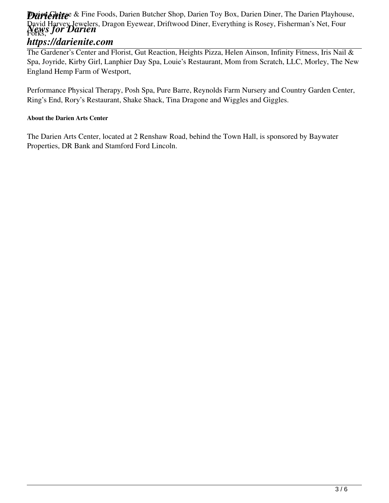### **Drivichite** & Fine Foods, Darien Butcher Shop, Darien Toy Box, Darien Diner, The Darien Playhouse, David Harvey Jewelers, Dragon Eyewear, Driftwood Diner, Everything is Rosey, Fisherman's Net, Four<br>*News for Darien* Forks,

## *https://darienite.com*

The Gardener's Center and Florist, Gut Reaction, Heights Pizza, Helen Ainson, Infinity Fitness, Iris Nail & Spa, Joyride, Kirby Girl, Lanphier Day Spa, Louie's Restaurant, Mom from Scratch, LLC, Morley, The New England Hemp Farm of Westport,

Performance Physical Therapy, Posh Spa, Pure Barre, Reynolds Farm Nursery and Country Garden Center, Ring's End, Rory's Restaurant, Shake Shack, Tina Dragone and Wiggles and Giggles.

#### **About the Darien Arts Center**

The Darien Arts Center, located at 2 Renshaw Road, behind the Town Hall, is sponsored by Baywater Properties, DR Bank and Stamford Ford Lincoln.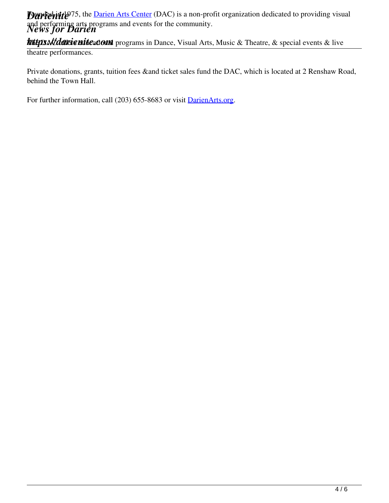**Durfeitite** 75, the Darien Arts Center (DAC) is a non-profit organization dedicated to providing visual and performing arts programs and events for the community.<br>News for Darien

**https://darienite.com** programs in Dance, Visual Arts, Music & Theatre, & special events & live theatre performances.

Private donations, grants, tuition fees &and ticket sales fund the DAC, which is located at 2 Renshaw Road, behind the Town Hall.

For further information, call (203) 655-8683 or visit DarienArts.org.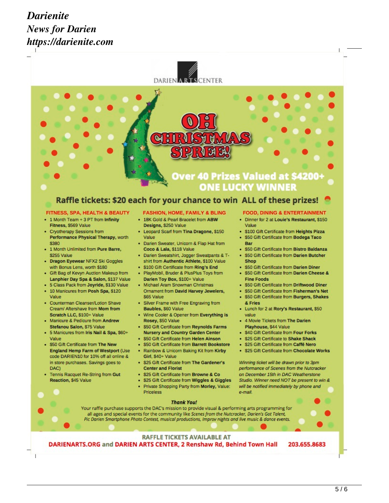# *Darienite News for Darien https://darienite.com*